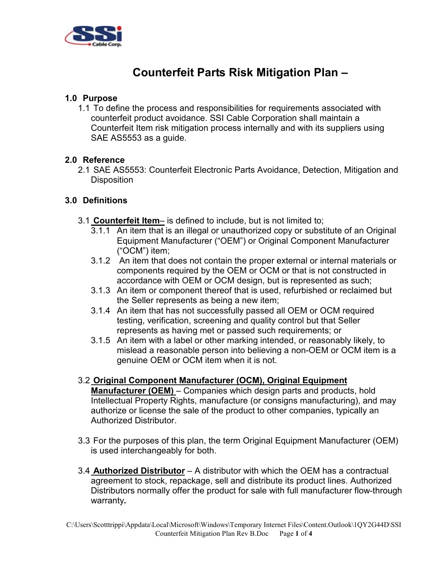

# **Counterfeit Parts Risk Mitigation Plan –**

## **1.0 Purpose**

1.1 To define the process and responsibilities for requirements associated with counterfeit product avoidance. SSI Cable Corporation shall maintain a Counterfeit Item risk mitigation process internally and with its suppliers using SAE AS5553 as a guide.

#### **2.0 Reference**

2.1 SAE AS5553: Counterfeit Electronic Parts Avoidance, Detection, Mitigation and **Disposition** 

#### **3.0 Definitions**

- 3.1 **Counterfeit Item** is defined to include, but is not limited to;
	- 3.1.1 An item that is an illegal or unauthorized copy or substitute of an Original Equipment Manufacturer ("OEM") or Original Component Manufacturer ("OCM") item;
	- 3.1.2 An item that does not contain the proper external or internal materials or components required by the OEM or OCM or that is not constructed in accordance with OEM or OCM design, but is represented as such;
	- 3.1.3 An item or component thereof that is used, refurbished or reclaimed but the Seller represents as being a new item;
	- 3.1.4 An item that has not successfully passed all OEM or OCM required testing, verification, screening and quality control but that Seller represents as having met or passed such requirements; or
	- 3.1.5 An item with a label or other marking intended, or reasonably likely, to mislead a reasonable person into believing a non-OEM or OCM item is a genuine OEM or OCM item when it is not.
- 3.2 **Original Component Manufacturer (OCM), Original Equipment Manufacturer (OEM)** – Companies which design parts and products, hold Intellectual Property Rights, manufacture (or consigns manufacturing), and may authorize or license the sale of the product to other companies, typically an Authorized Distributor.
- 3.3 For the purposes of this plan, the term Original Equipment Manufacturer (OEM) is used interchangeably for both.
- 3.4 **Authorized Distributor** A distributor with which the OEM has a contractual agreement to stock, repackage, sell and distribute its product lines. Authorized Distributors normally offer the product for sale with full manufacturer flow-through warranty**.**

C:\Users\Scotttrippi\Appdata\Local\Microsoft\Windows\Temporary Internet Files\Content.Outlook\1QY2G44D\SSI Counterfeit Mitigation Plan Rev B.Doc Page **1** of **4**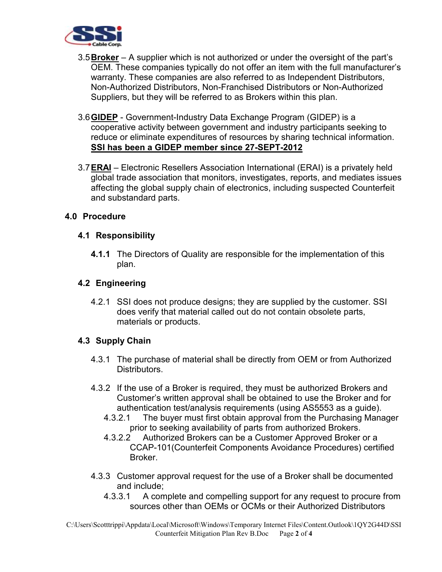

- 3.5**Broker** A supplier which is not authorized or under the oversight of the part's OEM. These companies typically do not offer an item with the full manufacturer's warranty. These companies are also referred to as Independent Distributors, Non-Authorized Distributors, Non-Franchised Distributors or Non-Authorized Suppliers, but they will be referred to as Brokers within this plan.
- 3.6**GIDEP** Government-Industry Data Exchange Program (GIDEP) is a cooperative activity between government and industry participants seeking to reduce or eliminate expenditures of resources by sharing technical information. **SSI has been a GIDEP member since 27-SEPT-2012**
- 3.7**ERAI** Electronic Resellers Association International (ERAI) is a privately held global trade association that monitors, investigates, reports, and mediates issues affecting the global supply chain of electronics, including suspected Counterfeit and substandard parts.

## **4.0 Procedure**

## **4.1 Responsibility**

**4.1.1** The Directors of Quality are responsible for the implementation of this plan.

#### **4.2 Engineering**

4.2.1 SSI does not produce designs; they are supplied by the customer. SSI does verify that material called out do not contain obsolete parts, materials or products.

#### **4.3 Supply Chain**

- 4.3.1 The purchase of material shall be directly from OEM or from Authorized Distributors.
- 4.3.2 If the use of a Broker is required, they must be authorized Brokers and Customer's written approval shall be obtained to use the Broker and for authentication test/analysis requirements (using AS5553 as a guide).
	- 4.3.2.1 The buyer must first obtain approval from the Purchasing Manager prior to seeking availability of parts from authorized Brokers.
	- 4.3.2.2 Authorized Brokers can be a Customer Approved Broker or a CCAP-101(Counterfeit Components Avoidance Procedures) certified Broker.
- 4.3.3 Customer approval request for the use of a Broker shall be documented and include;
	- 4.3.3.1 A complete and compelling support for any request to procure from sources other than OEMs or OCMs or their Authorized Distributors

C:\Users\Scotttrippi\Appdata\Local\Microsoft\Windows\Temporary Internet Files\Content.Outlook\1QY2G44D\SSI Counterfeit Mitigation Plan Rev B.Doc Page **2** of **4**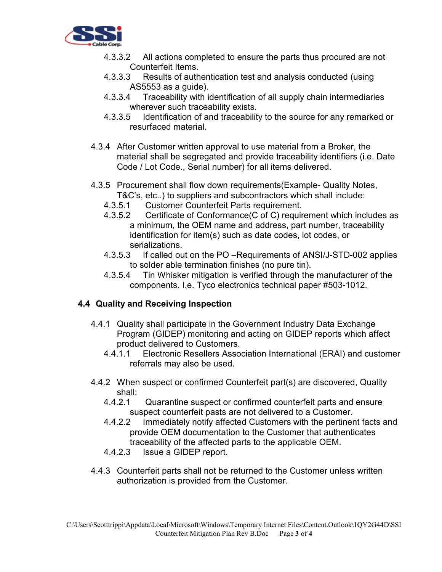

- 4.3.3.2 All actions completed to ensure the parts thus procured are not Counterfeit Items.
- 4.3.3.3 Results of authentication test and analysis conducted (using AS5553 as a guide).
- 4.3.3.4 Traceability with identification of all supply chain intermediaries wherever such traceability exists.
- 4.3.3.5 Identification of and traceability to the source for any remarked or resurfaced material.
- 4.3.4 After Customer written approval to use material from a Broker, the material shall be segregated and provide traceability identifiers (i.e. Date Code / Lot Code., Serial number) for all items delivered.
- 4.3.5 Procurement shall flow down requirements(Example- Quality Notes, T&C's, etc..) to suppliers and subcontractors which shall include:
	- 4.3.5.1 Customer Counterfeit Parts requirement.
	- 4.3.5.2 Certificate of Conformance(C of C) requirement which includes as a minimum, the OEM name and address, part number, traceability identification for item(s) such as date codes, lot codes, or serializations.
	- 4.3.5.3 If called out on the PO –Requirements of ANSI/J-STD-002 applies to solder able termination finishes (no pure tin).<br>4.3.5.4 Tin Whisker mitigation is verified through the
	- 4.3.5.4 Tin Whisker mitigation is verified through the manufacturer of the components. I.e. Tyco electronics technical paper #503-1012.

## **4.4 Quality and Receiving Inspection**

- 4.4.1 Quality shall participate in the Government Industry Data Exchange Program (GIDEP) monitoring and acting on GIDEP reports which affect product delivered to Customers.
	- 4.4.1.1 Electronic Resellers Association International (ERAI) and customer referrals may also be used.
- 4.4.2 When suspect or confirmed Counterfeit part(s) are discovered, Quality shall:
	- 4.4.2.1 Quarantine suspect or confirmed counterfeit parts and ensure suspect counterfeit pasts are not delivered to a Customer.
	- 4.4.2.2 Immediately notify affected Customers with the pertinent facts and provide OEM documentation to the Customer that authenticates traceability of the affected parts to the applicable OEM.
	- 4.4.2.3 Issue a GIDEP report.
- 4.4.3 Counterfeit parts shall not be returned to the Customer unless written authorization is provided from the Customer.